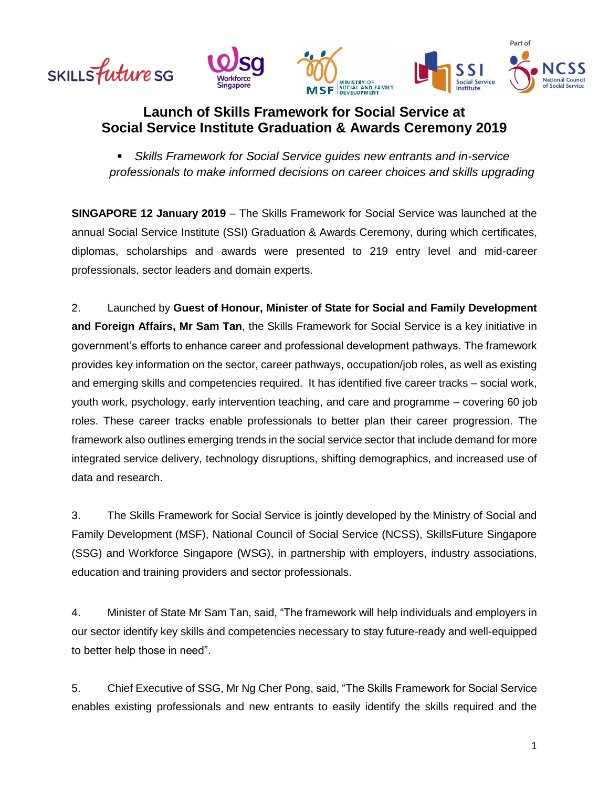

# **Launch of Skills Framework for Social Service at Social Service Institute Graduation & Awards Ceremony 2019**

 *Skills Framework for Social Service guides new entrants and in-service professionals to make informed decisions on career choices and skills upgrading*

**SINGAPORE 12 January 2019** – The Skills Framework for Social Service was launched at the annual Social Service Institute (SSI) Graduation & Awards Ceremony, during which certificates, diplomas, scholarships and awards were presented to 219 entry level and mid-career professionals, sector leaders and domain experts.

2. Launched by **Guest of Honour, Minister of State for Social and Family Development and Foreign Affairs, Mr Sam Tan**, the Skills Framework for Social Service is a key initiative in government's efforts to enhance career and professional development pathways. The framework provides key information on the sector, career pathways, occupation/job roles, as well as existing and emerging skills and competencies required. It has identified five career tracks – social work, youth work, psychology, early intervention teaching, and care and programme – covering 60 job roles. These career tracks enable professionals to better plan their career progression. The framework also outlines emerging trends in the social service sector that include demand for more integrated service delivery, technology disruptions, shifting demographics, and increased use of data and research.

3. The Skills Framework for Social Service is jointly developed by the Ministry of Social and Family Development (MSF), National Council of Social Service (NCSS), SkillsFuture Singapore (SSG) and Workforce Singapore (WSG), in partnership with employers, industry associations, education and training providers and sector professionals.

4. Minister of State Mr Sam Tan, said, "The framework will help individuals and employers in our sector identify key skills and competencies necessary to stay future-ready and well-equipped to better help those in need".

5. Chief Executive of SSG, Mr Ng Cher Pong, said, "The Skills Framework for Social Service enables existing professionals and new entrants to easily identify the skills required and the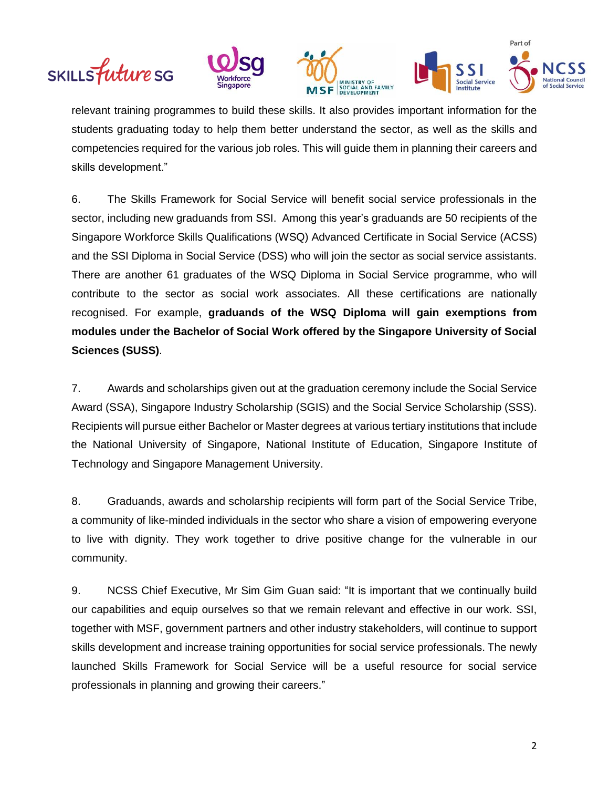







relevant training programmes to build these skills. It also provides important information for the students graduating today to help them better understand the sector, as well as the skills and competencies required for the various job roles. This will guide them in planning their careers and skills development."

6. The Skills Framework for Social Service will benefit social service professionals in the sector, including new graduands from SSI. Among this year's graduands are 50 recipients of the Singapore Workforce Skills Qualifications (WSQ) Advanced Certificate in Social Service (ACSS) and the SSI Diploma in Social Service (DSS) who will join the sector as social service assistants. There are another 61 graduates of the WSQ Diploma in Social Service programme, who will contribute to the sector as social work associates. All these certifications are nationally recognised. For example, **graduands of the WSQ Diploma will gain exemptions from modules under the Bachelor of Social Work offered by the Singapore University of Social Sciences (SUSS)**.

7. Awards and scholarships given out at the graduation ceremony include the Social Service Award (SSA), Singapore Industry Scholarship (SGIS) and the Social Service Scholarship (SSS). Recipients will pursue either Bachelor or Master degrees at various tertiary institutions that include the National University of Singapore, National Institute of Education, Singapore Institute of Technology and Singapore Management University.

8. Graduands, awards and scholarship recipients will form part of the Social Service Tribe, a community of like-minded individuals in the sector who share a vision of empowering everyone to live with dignity. They work together to drive positive change for the vulnerable in our community.

9. NCSS Chief Executive, Mr Sim Gim Guan said: "It is important that we continually build our capabilities and equip ourselves so that we remain relevant and effective in our work. SSI, together with MSF, government partners and other industry stakeholders, will continue to support skills development and increase training opportunities for social service professionals. The newly launched Skills Framework for Social Service will be a useful resource for social service professionals in planning and growing their careers."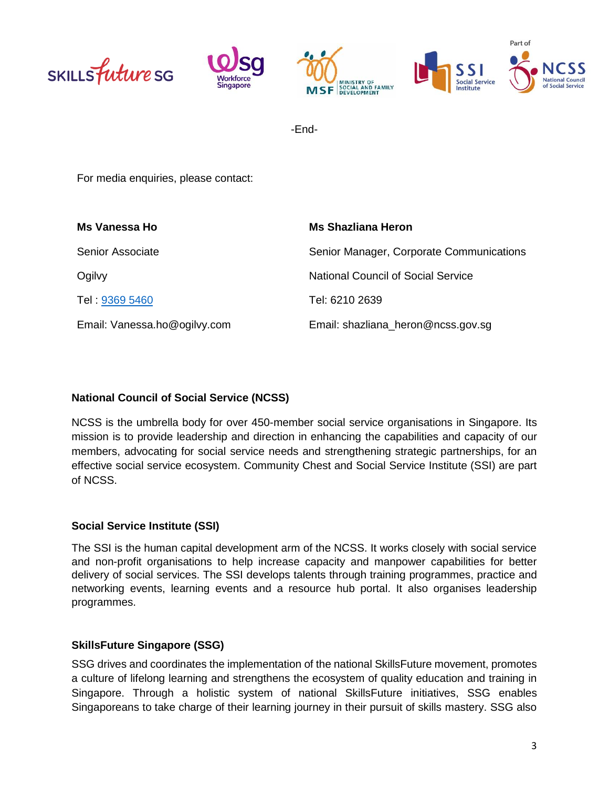





-End-

For media enquiries, please contact:

| Ms Vanessa Ho                | Ms Shazliana Heron                        |
|------------------------------|-------------------------------------------|
| <b>Senior Associate</b>      | Senior Manager, Corporate Communications  |
| Ogilvy                       | <b>National Council of Social Service</b> |
| Tel: 9369 5460               | Tel: 6210 2639                            |
| Email: Vanessa.ho@ogilvy.com | Email: shazliana_heron@ncss.gov.sg        |

## **National Council of Social Service (NCSS)**

NCSS is the umbrella body for over 450-member social service organisations in Singapore. Its mission is to provide leadership and direction in enhancing the capabilities and capacity of our members, advocating for social service needs and strengthening strategic partnerships, for an effective social service ecosystem. Community Chest and Social Service Institute (SSI) are part of NCSS.

#### **Social Service Institute (SSI)**

The SSI is the human capital development arm of the NCSS. It works closely with social service and non-profit organisations to help increase capacity and manpower capabilities for better delivery of social services. The SSI develops talents through training programmes, practice and networking events, learning events and a resource hub portal. It also organises leadership programmes.

# **SkillsFuture Singapore (SSG)**

SSG drives and coordinates the implementation of the national SkillsFuture movement, promotes a culture of lifelong learning and strengthens the ecosystem of quality education and training in Singapore. Through a holistic system of national SkillsFuture initiatives, SSG enables Singaporeans to take charge of their learning journey in their pursuit of skills mastery. SSG also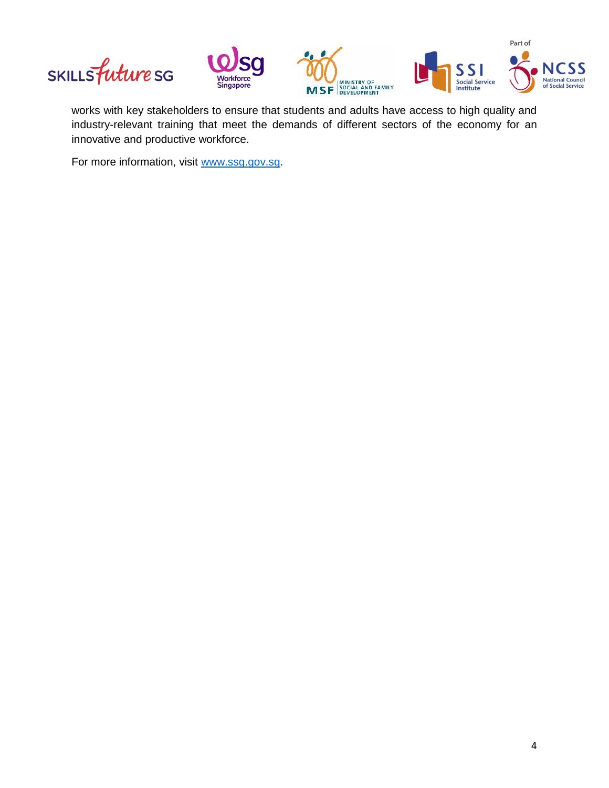



works with key stakeholders to ensure that students and adults have access to high quality and industry-relevant training that meet the demands of different sectors of the economy for an innovative and productive workforce.

For more information, visit [www.ssg.gov.sg.](http://www.ssg.gov.sg/)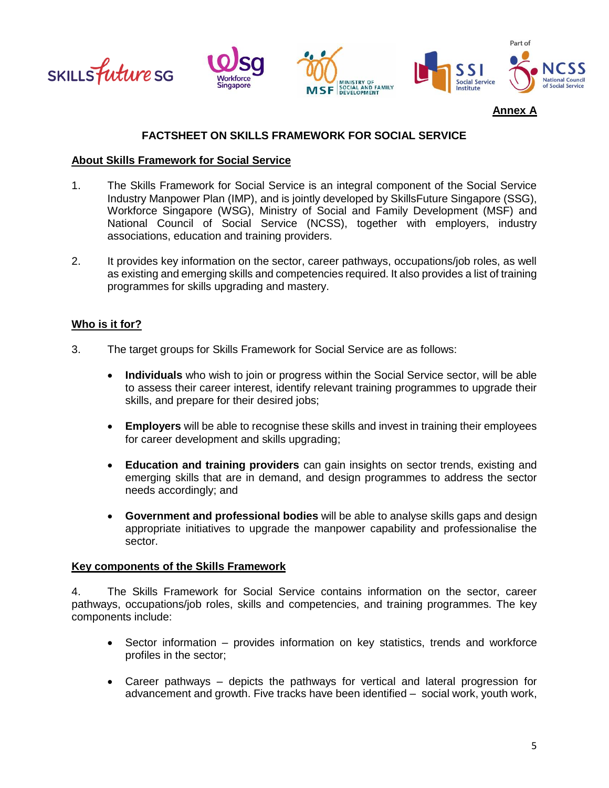

### **FACTSHEET ON SKILLS FRAMEWORK FOR SOCIAL SERVICE**

#### **About Skills Framework for Social Service**

- 1. The Skills Framework for Social Service is an integral component of the Social Service Industry Manpower Plan (IMP), and is jointly developed by SkillsFuture Singapore (SSG), Workforce Singapore (WSG), Ministry of Social and Family Development (MSF) and National Council of Social Service (NCSS), together with employers, industry associations, education and training providers.
- 2. It provides key information on the sector, career pathways, occupations/job roles, as well as existing and emerging skills and competencies required. It also provides a list of training programmes for skills upgrading and mastery.

#### **Who is it for?**

- 3. The target groups for Skills Framework for Social Service are as follows:
	- **Individuals** who wish to join or progress within the Social Service sector, will be able to assess their career interest, identify relevant training programmes to upgrade their skills, and prepare for their desired jobs;
	- **Employers** will be able to recognise these skills and invest in training their employees for career development and skills upgrading;
	- **Education and training providers** can gain insights on sector trends, existing and emerging skills that are in demand, and design programmes to address the sector needs accordingly; and
	- **Government and professional bodies** will be able to analyse skills gaps and design appropriate initiatives to upgrade the manpower capability and professionalise the sector.

#### **Key components of the Skills Framework**

4. The Skills Framework for Social Service contains information on the sector, career pathways, occupations/job roles, skills and competencies, and training programmes. The key components include:

- Sector information provides information on key statistics, trends and workforce profiles in the sector;
- Career pathways depicts the pathways for vertical and lateral progression for advancement and growth. Five tracks have been identified – social work, youth work,